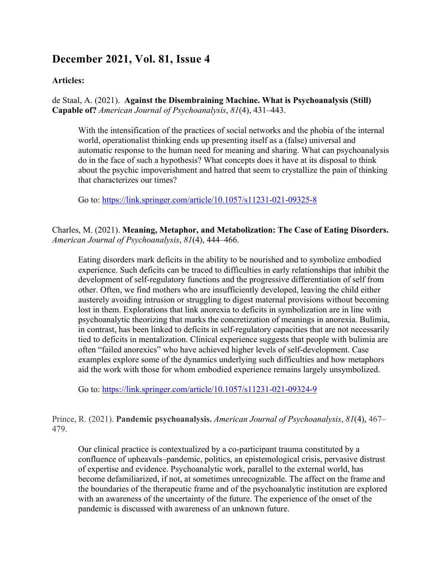# **December 2021, Vol. 81, Issue 4**

#### **Articles:**

de Staal, A. (2021). **Against the Disembraining Machine. What is Psychoanalysis (Still) Capable of?** *American Journal of Psychoanalysis*, *81*(4), 431–443.

With the intensification of the practices of social networks and the phobia of the internal world, operationalist thinking ends up presenting itself as a (false) universal and automatic response to the human need for meaning and sharing. What can psychoanalysis do in the face of such a hypothesis? What concepts does it have at its disposal to think about the psychic impoverishment and hatred that seem to crystallize the pain of thinking that characterizes our times?

Go to: https://link.springer.com/article/10.1057/s11231-021-09325-8

Charles, M. (2021). **Meaning, Metaphor, and Metabolization: The Case of Eating Disorders.** *American Journal of Psychoanalysis*, *81*(4), 444–466.

Eating disorders mark deficits in the ability to be nourished and to symbolize embodied experience. Such deficits can be traced to difficulties in early relationships that inhibit the development of self-regulatory functions and the progressive differentiation of self from other. Often, we find mothers who are insufficiently developed, leaving the child either austerely avoiding intrusion or struggling to digest maternal provisions without becoming lost in them. Explorations that link anorexia to deficits in symbolization are in line with psychoanalytic theorizing that marks the concretization of meanings in anorexia. Bulimia, in contrast, has been linked to deficits in self-regulatory capacities that are not necessarily tied to deficits in mentalization. Clinical experience suggests that people with bulimia are often "failed anorexics" who have achieved higher levels of self-development. Case examples explore some of the dynamics underlying such difficulties and how metaphors aid the work with those for whom embodied experience remains largely unsymbolized.

Go to: https://link.springer.com/article/10.1057/s11231-021-09324-9

Prince, R. (2021). **Pandemic psychoanalysis.** *American Journal of Psychoanalysis*, *81*(4), 467– 479.

Our clinical practice is contextualized by a co-participant trauma constituted by a confluence of upheavals–pandemic, politics, an epistemological crisis, pervasive distrust of expertise and evidence. Psychoanalytic work, parallel to the external world, has become defamiliarized, if not, at sometimes unrecognizable. The affect on the frame and the boundaries of the therapeutic frame and of the psychoanalytic institution are explored with an awareness of the uncertainty of the future. The experience of the onset of the pandemic is discussed with awareness of an unknown future.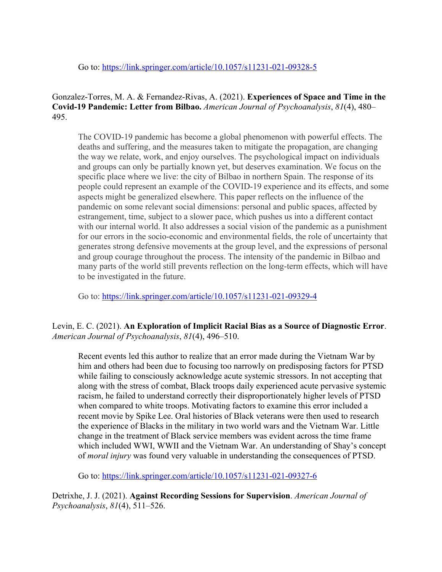Go to: https://link.springer.com/article/10.1057/s11231-021-09328-5

## Gonzalez-Torres, M. A. & Fernandez-Rivas, A. (2021). **Experiences of Space and Time in the Covid-19 Pandemic: Letter from Bilbao.** *American Journal of Psychoanalysis*, *81*(4), 480– 495.

The COVID-19 pandemic has become a global phenomenon with powerful effects. The deaths and suffering, and the measures taken to mitigate the propagation, are changing the way we relate, work, and enjoy ourselves. The psychological impact on individuals and groups can only be partially known yet, but deserves examination. We focus on the specific place where we live: the city of Bilbao in northern Spain. The response of its people could represent an example of the COVID-19 experience and its effects, and some aspects might be generalized elsewhere. This paper reflects on the influence of the pandemic on some relevant social dimensions: personal and public spaces, affected by estrangement, time, subject to a slower pace, which pushes us into a different contact with our internal world. It also addresses a social vision of the pandemic as a punishment for our errors in the socio-economic and environmental fields, the role of uncertainty that generates strong defensive movements at the group level, and the expressions of personal and group courage throughout the process. The intensity of the pandemic in Bilbao and many parts of the world still prevents reflection on the long-term effects, which will have to be investigated in the future.

Go to: https://link.springer.com/article/10.1057/s11231-021-09329-4

Levin, E. C. (2021). **An Exploration of Implicit Racial Bias as a Source of Diagnostic Error**. *American Journal of Psychoanalysis*, *81*(4), 496–510.

Recent events led this author to realize that an error made during the Vietnam War by him and others had been due to focusing too narrowly on predisposing factors for PTSD while failing to consciously acknowledge acute systemic stressors. In not accepting that along with the stress of combat, Black troops daily experienced acute pervasive systemic racism, he failed to understand correctly their disproportionately higher levels of PTSD when compared to white troops. Motivating factors to examine this error included a recent movie by Spike Lee. Oral histories of Black veterans were then used to research the experience of Blacks in the military in two world wars and the Vietnam War. Little change in the treatment of Black service members was evident across the time frame which included WWI, WWII and the Vietnam War. An understanding of Shay's concept of *moral injury* was found very valuable in understanding the consequences of PTSD.

Go to: https://link.springer.com/article/10.1057/s11231-021-09327-6

Detrixhe, J. J. (2021). **Against Recording Sessions for Supervision**. *American Journal of Psychoanalysis*, *81*(4), 511–526.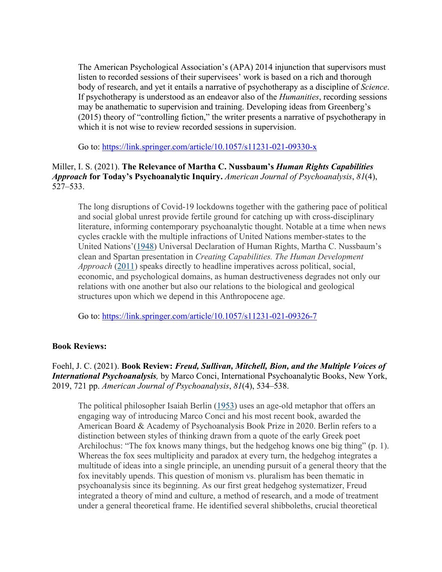The American Psychological Association's (APA) 2014 injunction that supervisors must listen to recorded sessions of their supervisees' work is based on a rich and thorough body of research, and yet it entails a narrative of psychotherapy as a discipline of *Science*. If psychotherapy is understood as an endeavor also of the *Humanities*, recording sessions may be anathematic to supervision and training. Developing ideas from Greenberg's (2015) theory of "controlling fiction," the writer presents a narrative of psychotherapy in which it is not wise to review recorded sessions in supervision.

Go to: https://link.springer.com/article/10.1057/s11231-021-09330-x

## Miller, I. S. (2021). **The Relevance of Martha C. Nussbaum's** *Human Rights Capabilities Approach* **for Today's Psychoanalytic Inquiry.** *American Journal of Psychoanalysis*, *81*(4), 527–533.

The long disruptions of Covid-19 lockdowns together with the gathering pace of political and social global unrest provide fertile ground for catching up with cross-disciplinary literature, informing contemporary psychoanalytic thought. Notable at a time when news cycles crackle with the multiple infractions of United Nations member-states to the United Nations'(1948) Universal Declaration of Human Rights, Martha C. Nussbaum's clean and Spartan presentation in *Creating Capabilities. The Human Development Approach* (2011) speaks directly to headline imperatives across political, social, economic, and psychological domains, as human destructiveness degrades not only our relations with one another but also our relations to the biological and geological structures upon which we depend in this Anthropocene age.

Go to: https://link.springer.com/article/10.1057/s11231-021-09326-7

## **Book Reviews:**

## Foehl, J. C. (2021). **Book Review:** *Freud, Sullivan, Mitchell, Bion, and the Multiple Voices of International Psychoanalysis,* by Marco Conci, International Psychoanalytic Books, New York, 2019, 721 pp. *American Journal of Psychoanalysis*, *81*(4), 534–538.

The political philosopher Isaiah Berlin (1953) uses an age-old metaphor that offers an engaging way of introducing Marco Conci and his most recent book, awarded the American Board & Academy of Psychoanalysis Book Prize in 2020. Berlin refers to a distinction between styles of thinking drawn from a quote of the early Greek poet Archilochus: "The fox knows many things, but the hedgehog knows one big thing" (p. 1). Whereas the fox sees multiplicity and paradox at every turn, the hedgehog integrates a multitude of ideas into a single principle, an unending pursuit of a general theory that the fox inevitably upends. This question of monism vs. pluralism has been thematic in psychoanalysis since its beginning. As our first great hedgehog systematizer, Freud integrated a theory of mind and culture, a method of research, and a mode of treatment under a general theoretical frame. He identified several shibboleths, crucial theoretical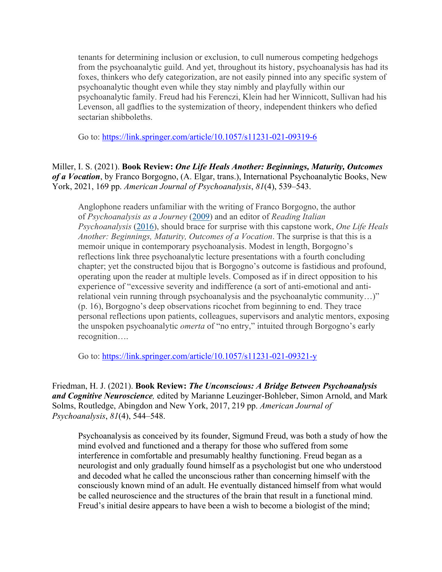tenants for determining inclusion or exclusion, to cull numerous competing hedgehogs from the psychoanalytic guild. And yet, throughout its history, psychoanalysis has had its foxes, thinkers who defy categorization, are not easily pinned into any specific system of psychoanalytic thought even while they stay nimbly and playfully within our psychoanalytic family. Freud had his Ferenczi, Klein had her Winnicott, Sullivan had his Levenson, all gadflies to the systemization of theory, independent thinkers who defied sectarian shibboleths.

Go to: https://link.springer.com/article/10.1057/s11231-021-09319-6

Miller, I. S. (2021). **Book Review:** *One Life Heals Another: Beginnings, Maturity, Outcomes of a Vocation*, by Franco Borgogno, (A. Elgar, trans.), International Psychoanalytic Books, New York, 2021, 169 pp. *American Journal of Psychoanalysis*, *81*(4), 539–543.

Anglophone readers unfamiliar with the writing of Franco Borgogno, the author of *Psychoanalysis as a Journey* (2009) and an editor of *Reading Italian Psychoanalysis* (2016), should brace for surprise with this capstone work, *One Life Heals Another: Beginnings, Maturity, Outcomes of a Vocation*. The surprise is that this is a memoir unique in contemporary psychoanalysis. Modest in length, Borgogno's reflections link three psychoanalytic lecture presentations with a fourth concluding chapter; yet the constructed bijou that is Borgogno's outcome is fastidious and profound, operating upon the reader at multiple levels. Composed as if in direct opposition to his experience of "excessive severity and indifference (a sort of anti-emotional and antirelational vein running through psychoanalysis and the psychoanalytic community…)" (p. 16), Borgogno's deep observations ricochet from beginning to end. They trace personal reflections upon patients, colleagues, supervisors and analytic mentors, exposing the unspoken psychoanalytic *omerta* of "no entry," intuited through Borgogno's early recognition….

Go to: https://link.springer.com/article/10.1057/s11231-021-09321-y

Friedman, H. J. (2021). **Book Review:** *The Unconscious: A Bridge Between Psychoanalysis and Cognitive Neuroscience,* edited by Marianne Leuzinger-Bohleber, Simon Arnold, and Mark Solms, Routledge, Abingdon and New York, 2017, 219 pp. *American Journal of Psychoanalysis*, *81*(4), 544–548.

Psychoanalysis as conceived by its founder, Sigmund Freud, was both a study of how the mind evolved and functioned and a therapy for those who suffered from some interference in comfortable and presumably healthy functioning. Freud began as a neurologist and only gradually found himself as a psychologist but one who understood and decoded what he called the unconscious rather than concerning himself with the consciously known mind of an adult. He eventually distanced himself from what would be called neuroscience and the structures of the brain that result in a functional mind. Freud's initial desire appears to have been a wish to become a biologist of the mind;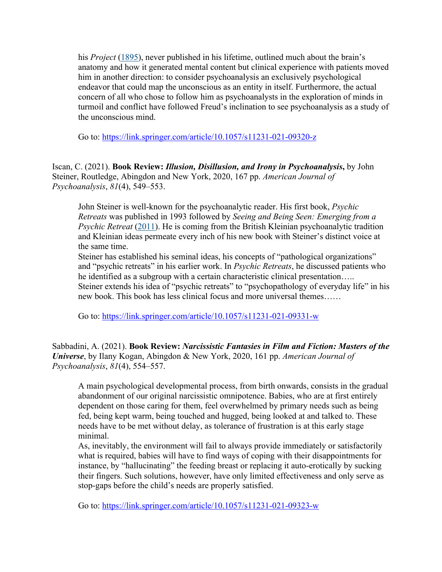his *Project* (1895), never published in his lifetime, outlined much about the brain's anatomy and how it generated mental content but clinical experience with patients moved him in another direction: to consider psychoanalysis an exclusively psychological endeavor that could map the unconscious as an entity in itself. Furthermore, the actual concern of all who chose to follow him as psychoanalysts in the exploration of minds in turmoil and conflict have followed Freud's inclination to see psychoanalysis as a study of the unconscious mind.

Go to: https://link.springer.com/article/10.1057/s11231-021-09320-z

Iscan, C. (2021). **Book Review:** *Illusion, Disillusion, and Irony in Psychoanalysis***,** by John Steiner, Routledge, Abingdon and New York, 2020, 167 pp. *American Journal of Psychoanalysis*, *81*(4), 549–553.

John Steiner is well-known for the psychoanalytic reader. His first book, *Psychic Retreats* was published in 1993 followed by *Seeing and Being Seen: Emerging from a Psychic Retreat* (2011). He is coming from the British Kleinian psychoanalytic tradition and Kleinian ideas permeate every inch of his new book with Steiner's distinct voice at the same time.

Steiner has established his seminal ideas, his concepts of "pathological organizations" and "psychic retreats" in his earlier work. In *Psychic Retreats*, he discussed patients who he identified as a subgroup with a certain characteristic clinical presentation….. Steiner extends his idea of "psychic retreats" to "psychopathology of everyday life" in his new book. This book has less clinical focus and more universal themes……

Go to: https://link.springer.com/article/10.1057/s11231-021-09331-w

Sabbadini, A. (2021). **Book Review:** *Narcissistic Fantasies in Film and Fiction: Masters of the Universe*, by Ilany Kogan, Abingdon & New York, 2020, 161 pp. *American Journal of Psychoanalysis*, *81*(4), 554–557.

A main psychological developmental process, from birth onwards, consists in the gradual abandonment of our original narcissistic omnipotence. Babies, who are at first entirely dependent on those caring for them, feel overwhelmed by primary needs such as being fed, being kept warm, being touched and hugged, being looked at and talked to. These needs have to be met without delay, as tolerance of frustration is at this early stage minimal.

As, inevitably, the environment will fail to always provide immediately or satisfactorily what is required, babies will have to find ways of coping with their disappointments for instance, by "hallucinating" the feeding breast or replacing it auto-erotically by sucking their fingers. Such solutions, however, have only limited effectiveness and only serve as stop-gaps before the child's needs are properly satisfied.

Go to: https://link.springer.com/article/10.1057/s11231-021-09323-w